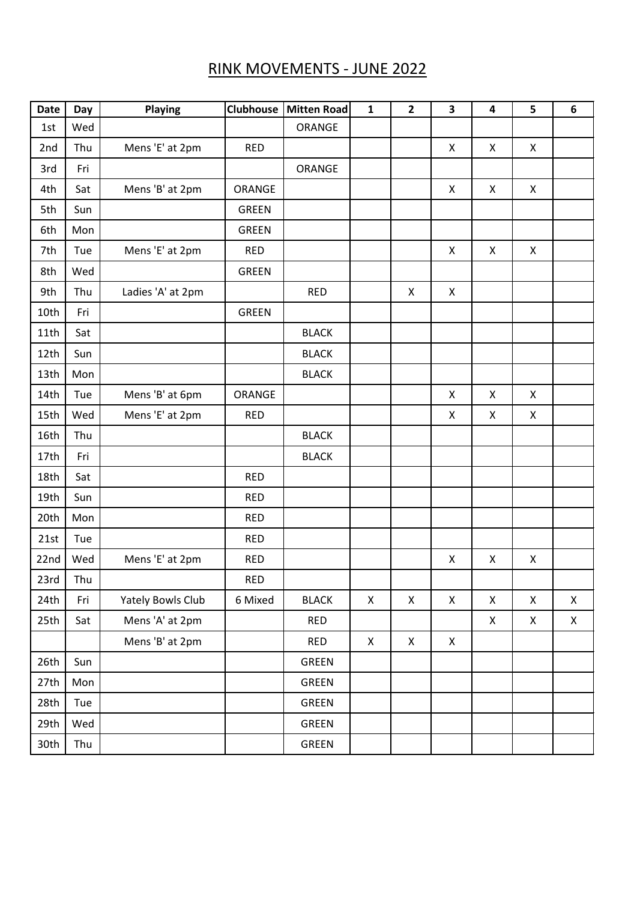## RINK MOVEMENTS - JUNE 2022

| <b>Date</b> | Day | Playing           | <b>Clubhouse</b> | <b>Mitten Road</b> | $\mathbf{1}$ | $\overline{2}$     | 3                  | $\overline{\mathbf{4}}$ | 5                  | 6            |
|-------------|-----|-------------------|------------------|--------------------|--------------|--------------------|--------------------|-------------------------|--------------------|--------------|
| 1st         | Wed |                   |                  | ORANGE             |              |                    |                    |                         |                    |              |
| 2nd         | Thu | Mens 'E' at 2pm   | <b>RED</b>       |                    |              |                    | X                  | Χ                       | X                  |              |
| 3rd         | Fri |                   |                  | ORANGE             |              |                    |                    |                         |                    |              |
| 4th         | Sat | Mens 'B' at 2pm   | ORANGE           |                    |              |                    | X                  | X                       | X                  |              |
| 5th         | Sun |                   | <b>GREEN</b>     |                    |              |                    |                    |                         |                    |              |
| 6th         | Mon |                   | <b>GREEN</b>     |                    |              |                    |                    |                         |                    |              |
| 7th         | Tue | Mens 'E' at 2pm   | <b>RED</b>       |                    |              |                    | X                  | Χ                       | X                  |              |
| 8th         | Wed |                   | <b>GREEN</b>     |                    |              |                    |                    |                         |                    |              |
| 9th         | Thu | Ladies 'A' at 2pm |                  | <b>RED</b>         |              | X                  | X                  |                         |                    |              |
| 10th        | Fri |                   | <b>GREEN</b>     |                    |              |                    |                    |                         |                    |              |
| 11th        | Sat |                   |                  | <b>BLACK</b>       |              |                    |                    |                         |                    |              |
| 12th        | Sun |                   |                  | <b>BLACK</b>       |              |                    |                    |                         |                    |              |
| 13th        | Mon |                   |                  | <b>BLACK</b>       |              |                    |                    |                         |                    |              |
| 14th        | Tue | Mens 'B' at 6pm   | ORANGE           |                    |              |                    | $\pmb{\mathsf{X}}$ | X                       | X                  |              |
| 15th        | Wed | Mens 'E' at 2pm   | <b>RED</b>       |                    |              |                    | X                  | X                       | X                  |              |
| 16th        | Thu |                   |                  | <b>BLACK</b>       |              |                    |                    |                         |                    |              |
| 17th        | Fri |                   |                  | <b>BLACK</b>       |              |                    |                    |                         |                    |              |
| 18th        | Sat |                   | <b>RED</b>       |                    |              |                    |                    |                         |                    |              |
| 19th        | Sun |                   | <b>RED</b>       |                    |              |                    |                    |                         |                    |              |
| 20th        | Mon |                   | <b>RED</b>       |                    |              |                    |                    |                         |                    |              |
| 21st        | Tue |                   | <b>RED</b>       |                    |              |                    |                    |                         |                    |              |
| 22nd        | Wed | Mens 'E' at 2pm   | <b>RED</b>       |                    |              |                    | X                  | Χ                       | $\pmb{\mathsf{X}}$ |              |
| 23rd        | Thu |                   | <b>RED</b>       |                    |              |                    |                    |                         |                    |              |
| 24th        | Fri | Yately Bowls Club | 6 Mixed          | <b>BLACK</b>       | Χ            | $\pmb{\mathsf{X}}$ | $\mathsf X$        | Χ                       | $\mathsf X$        | $\mathsf{X}$ |
| 25th        | Sat | Mens 'A' at 2pm   |                  | <b>RED</b>         |              |                    |                    | X                       | X                  | X            |
|             |     | Mens 'B' at 2pm   |                  | <b>RED</b>         | X            | X                  | $\mathsf{X}$       |                         |                    |              |
| 26th        | Sun |                   |                  | <b>GREEN</b>       |              |                    |                    |                         |                    |              |
| 27th        | Mon |                   |                  | GREEN              |              |                    |                    |                         |                    |              |
| 28th        | Tue |                   |                  | <b>GREEN</b>       |              |                    |                    |                         |                    |              |
| 29th        | Wed |                   |                  | <b>GREEN</b>       |              |                    |                    |                         |                    |              |
| 30th        | Thu |                   |                  | <b>GREEN</b>       |              |                    |                    |                         |                    |              |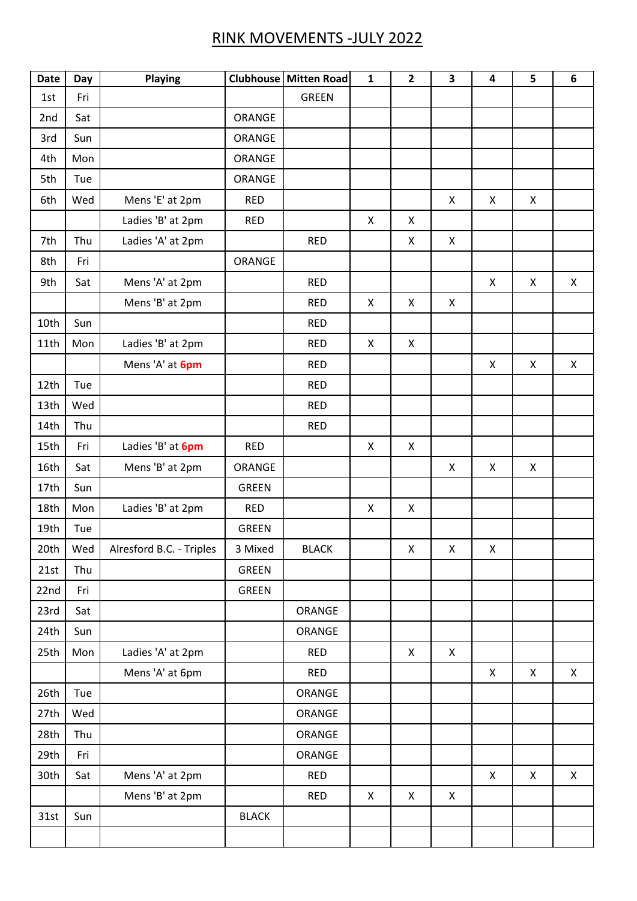## RINK MOVEMENTS -JULY 2022

| Date | Day | Playing                  |               | Clubhouse Mitten Road | $\mathbf{1}$       | $\overline{2}$ | 3                  | $\overline{\mathbf{4}}$ | 5                  | 6 |
|------|-----|--------------------------|---------------|-----------------------|--------------------|----------------|--------------------|-------------------------|--------------------|---|
| 1st  | Fri |                          |               | <b>GREEN</b>          |                    |                |                    |                         |                    |   |
| 2nd  | Sat |                          | <b>ORANGE</b> |                       |                    |                |                    |                         |                    |   |
| 3rd  | Sun |                          | <b>ORANGE</b> |                       |                    |                |                    |                         |                    |   |
| 4th  | Mon |                          | <b>ORANGE</b> |                       |                    |                |                    |                         |                    |   |
| 5th  | Tue |                          | <b>ORANGE</b> |                       |                    |                |                    |                         |                    |   |
| 6th  | Wed | Mens 'E' at 2pm          | <b>RED</b>    |                       |                    |                | X                  | Χ                       | X                  |   |
|      |     | Ladies 'B' at 2pm        | <b>RED</b>    |                       | $\pmb{\times}$     | X              |                    |                         |                    |   |
| 7th  | Thu | Ladies 'A' at 2pm        |               | <b>RED</b>            |                    | X              | $\mathsf{X}$       |                         |                    |   |
| 8th  | Fri |                          | ORANGE        |                       |                    |                |                    |                         |                    |   |
| 9th  | Sat | Mens 'A' at 2pm          |               | <b>RED</b>            |                    |                |                    | Χ                       | $\pmb{\mathsf{X}}$ | X |
|      |     | Mens 'B' at 2pm          |               | <b>RED</b>            | X                  | X              | X                  |                         |                    |   |
| 10th | Sun |                          |               | <b>RED</b>            |                    |                |                    |                         |                    |   |
| 11th | Mon | Ladies 'B' at 2pm        |               | <b>RED</b>            | $\pmb{\times}$     | X              |                    |                         |                    |   |
|      |     | Mens 'A' at 6pm          |               | <b>RED</b>            |                    |                |                    | X                       | X                  | X |
| 12th | Tue |                          |               | <b>RED</b>            |                    |                |                    |                         |                    |   |
| 13th | Wed |                          |               | <b>RED</b>            |                    |                |                    |                         |                    |   |
| 14th | Thu |                          |               | <b>RED</b>            |                    |                |                    |                         |                    |   |
| 15th | Fri | Ladies 'B' at 6pm        | <b>RED</b>    |                       | $\pmb{\mathsf{X}}$ | X              |                    |                         |                    |   |
| 16th | Sat | Mens 'B' at 2pm          | <b>ORANGE</b> |                       |                    |                | $\pmb{\mathsf{X}}$ | X                       | X                  |   |
| 17th | Sun |                          | <b>GREEN</b>  |                       |                    |                |                    |                         |                    |   |
| 18th | Mon | Ladies 'B' at 2pm        | <b>RED</b>    |                       | X                  | X              |                    |                         |                    |   |
| 19th | Tue |                          | <b>GREEN</b>  |                       |                    |                |                    |                         |                    |   |
| 20th | Wed | Alresford B.C. - Triples | 3 Mixed       | <b>BLACK</b>          |                    | $\mathsf{X}^-$ | $\mathsf{X}^-$     | $\mathsf{X}% _{0}$      |                    |   |
| 21st | Thu |                          | <b>GREEN</b>  |                       |                    |                |                    |                         |                    |   |
| 22nd | Fri |                          | <b>GREEN</b>  |                       |                    |                |                    |                         |                    |   |
| 23rd | Sat |                          |               | ORANGE                |                    |                |                    |                         |                    |   |
| 24th | Sun |                          |               | ORANGE                |                    |                |                    |                         |                    |   |
| 25th | Mon | Ladies 'A' at 2pm        |               | <b>RED</b>            |                    | $\pmb{\times}$ | $\mathsf{X}$       |                         |                    |   |
|      |     | Mens 'A' at 6pm          |               | <b>RED</b>            |                    |                |                    | X                       | $\pmb{\times}$     | X |
| 26th | Tue |                          |               | ORANGE                |                    |                |                    |                         |                    |   |
| 27th | Wed |                          |               | ORANGE                |                    |                |                    |                         |                    |   |
| 28th | Thu |                          |               | ORANGE                |                    |                |                    |                         |                    |   |
| 29th | Fri |                          |               | ORANGE                |                    |                |                    |                         |                    |   |
| 30th | Sat | Mens 'A' at 2pm          |               | <b>RED</b>            |                    |                |                    | X                       | $\pmb{\times}$     | X |
|      |     | Mens 'B' at 2pm          |               | <b>RED</b>            | X                  | X              | X                  |                         |                    |   |
| 31st | Sun |                          | <b>BLACK</b>  |                       |                    |                |                    |                         |                    |   |
|      |     |                          |               |                       |                    |                |                    |                         |                    |   |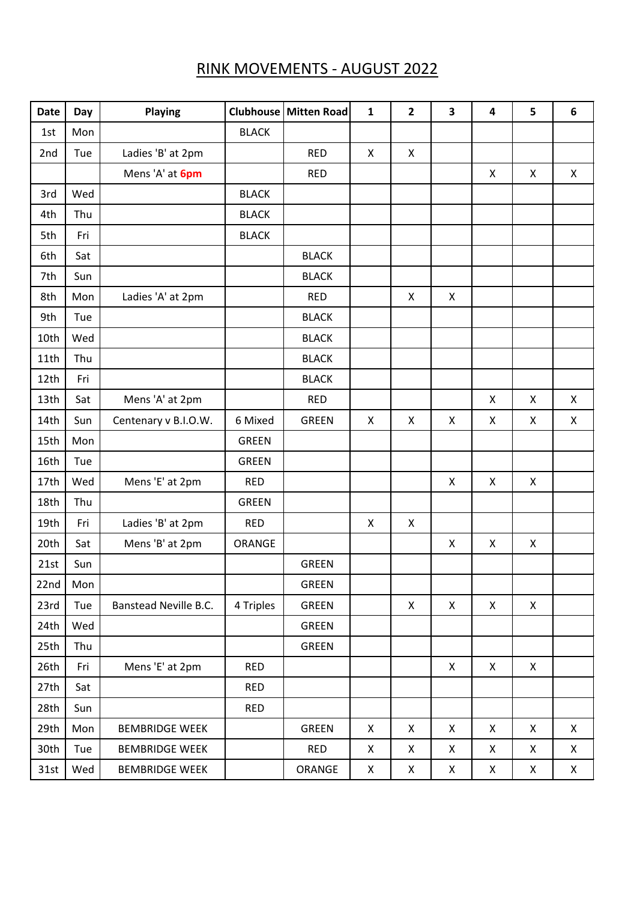## RINK MOVEMENTS - AUGUST 2022

| <b>Date</b> | Day | <b>Playing</b>        |              | Clubhouse   Mitten Road | $\mathbf{1}$ | $\mathbf{2}$ | 3            | 4 | 5                         | 6 |
|-------------|-----|-----------------------|--------------|-------------------------|--------------|--------------|--------------|---|---------------------------|---|
| 1st         | Mon |                       | <b>BLACK</b> |                         |              |              |              |   |                           |   |
| 2nd         | Tue | Ladies 'B' at 2pm     |              | <b>RED</b>              | X            | X            |              |   |                           |   |
|             |     | Mens 'A' at 6pm       |              | <b>RED</b>              |              |              |              | Χ | X                         | X |
| 3rd         | Wed |                       | <b>BLACK</b> |                         |              |              |              |   |                           |   |
| 4th         | Thu |                       | <b>BLACK</b> |                         |              |              |              |   |                           |   |
| 5th         | Fri |                       | <b>BLACK</b> |                         |              |              |              |   |                           |   |
| 6th         | Sat |                       |              | <b>BLACK</b>            |              |              |              |   |                           |   |
| 7th         | Sun |                       |              | <b>BLACK</b>            |              |              |              |   |                           |   |
| 8th         | Mon | Ladies 'A' at 2pm     |              | <b>RED</b>              |              | X            | $\mathsf{X}$ |   |                           |   |
| 9th         | Tue |                       |              | <b>BLACK</b>            |              |              |              |   |                           |   |
| 10th        | Wed |                       |              | <b>BLACK</b>            |              |              |              |   |                           |   |
| 11th        | Thu |                       |              | <b>BLACK</b>            |              |              |              |   |                           |   |
| 12th        | Fri |                       |              | <b>BLACK</b>            |              |              |              |   |                           |   |
| 13th        | Sat | Mens 'A' at 2pm       |              | <b>RED</b>              |              |              |              | X | $\boldsymbol{\mathsf{X}}$ | X |
| 14th        | Sun | Centenary v B.I.O.W.  | 6 Mixed      | <b>GREEN</b>            | X            | X            | X            | X | X                         | X |
| 15th        | Mon |                       | <b>GREEN</b> |                         |              |              |              |   |                           |   |
| 16th        | Tue |                       | <b>GREEN</b> |                         |              |              |              |   |                           |   |
| 17th        | Wed | Mens 'E' at 2pm       | <b>RED</b>   |                         |              |              | X            | Χ | $\pmb{\times}$            |   |
| 18th        | Thu |                       | <b>GREEN</b> |                         |              |              |              |   |                           |   |
| 19th        | Fri | Ladies 'B' at 2pm     | <b>RED</b>   |                         | X            | X            |              |   |                           |   |
| 20th        | Sat | Mens 'B' at 2pm       | ORANGE       |                         |              |              | X            | X | X                         |   |
| 21st        | Sun |                       |              | <b>GREEN</b>            |              |              |              |   |                           |   |
| 22nd        | Mon |                       |              | <b>GREEN</b>            |              |              |              |   |                           |   |
| 23rd        | Tue | Banstead Neville B.C. | 4 Triples    | <b>GREEN</b>            |              | X            | X            | X | X                         |   |
| 24th        | Wed |                       |              | <b>GREEN</b>            |              |              |              |   |                           |   |
| 25th        | Thu |                       |              | <b>GREEN</b>            |              |              |              |   |                           |   |
| 26th        | Fri | Mens 'E' at 2pm       | <b>RED</b>   |                         |              |              | X            | X | X                         |   |
| 27th        | Sat |                       | <b>RED</b>   |                         |              |              |              |   |                           |   |
| 28th        | Sun |                       | <b>RED</b>   |                         |              |              |              |   |                           |   |
| 29th        | Mon | <b>BEMBRIDGE WEEK</b> |              | <b>GREEN</b>            | X            | X            | X            | X | $\pmb{\times}$            | X |
| 30th        | Tue | <b>BEMBRIDGE WEEK</b> |              | <b>RED</b>              | X            | X            | X            | X | X                         | X |
| 31st        | Wed | <b>BEMBRIDGE WEEK</b> |              | ORANGE                  | X            | X            | X            | X | X                         | X |